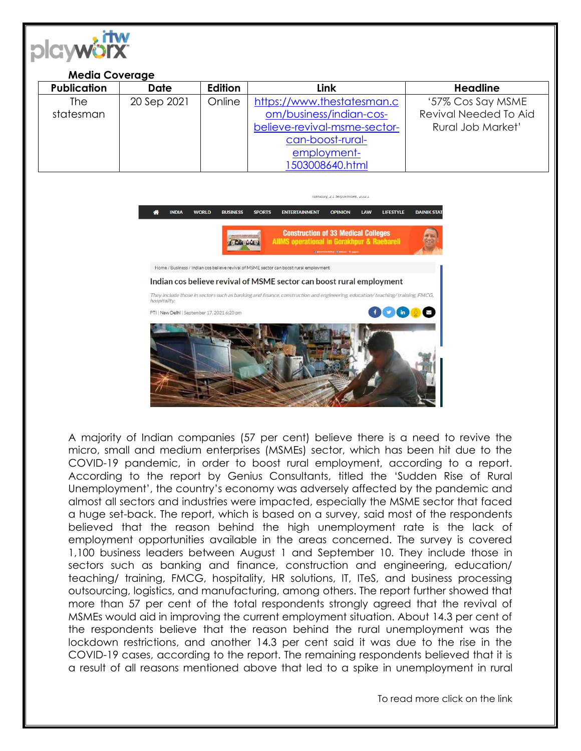

## **Media Coverage Publication Date Edition Link Headline**  The statesman 20 Sep 2021 | Online | [https://www.thestatesman.c](https://www.thestatesman.com/business/indian-cos-believe-revival-msme-sector-can-boost-rural-employment-1503008640.html) [om/business/indian-cos](https://www.thestatesman.com/business/indian-cos-believe-revival-msme-sector-can-boost-rural-employment-1503008640.html)[believe-revival-msme-sector](https://www.thestatesman.com/business/indian-cos-believe-revival-msme-sector-can-boost-rural-employment-1503008640.html)[can-boost-rural](https://www.thestatesman.com/business/indian-cos-believe-revival-msme-sector-can-boost-rural-employment-1503008640.html)[employment-](https://www.thestatesman.com/business/indian-cos-believe-revival-msme-sector-can-boost-rural-employment-1503008640.html)[1503008640.html](https://www.thestatesman.com/business/indian-cos-believe-revival-msme-sector-can-boost-rural-employment-1503008640.html) '57% Cos Say MSME Revival Needed To Aid Rural Job Market'



A majority of Indian companies (57 per cent) believe there is a need to revive the micro, small and medium enterprises (MSMEs) sector, which has been hit due to the COVID-19 pandemic, in order to boost rural employment, according to a report. According to the report by Genius Consultants, titled the 'Sudden Rise of Rural Unemployment', the country's economy was adversely affected by the pandemic and almost all sectors and industries were impacted, especially the MSME sector that faced a huge set-back. The report, which is based on a survey, said most of the respondents believed that the reason behind the high unemployment rate is the lack of employment opportunities available in the areas concerned. The survey is covered 1,100 business leaders between August 1 and September 10. They include those in sectors such as banking and finance, construction and engineering, education/ teaching/ training, FMCG, hospitality, HR solutions, IT, ITeS, and business processing outsourcing, logistics, and manufacturing, among others. The report further showed that more than 57 per cent of the total respondents strongly agreed that the revival of MSMEs would aid in improving the current employment situation. About 14.3 per cent of the respondents believe that the reason behind the rural unemployment was the lockdown restrictions, and another 14.3 per cent said it was due to the rise in the COVID-19 cases, according to the report. The remaining respondents believed that it is a result of all reasons mentioned above that led to a spike in unemployment in rural

To read more click on the link